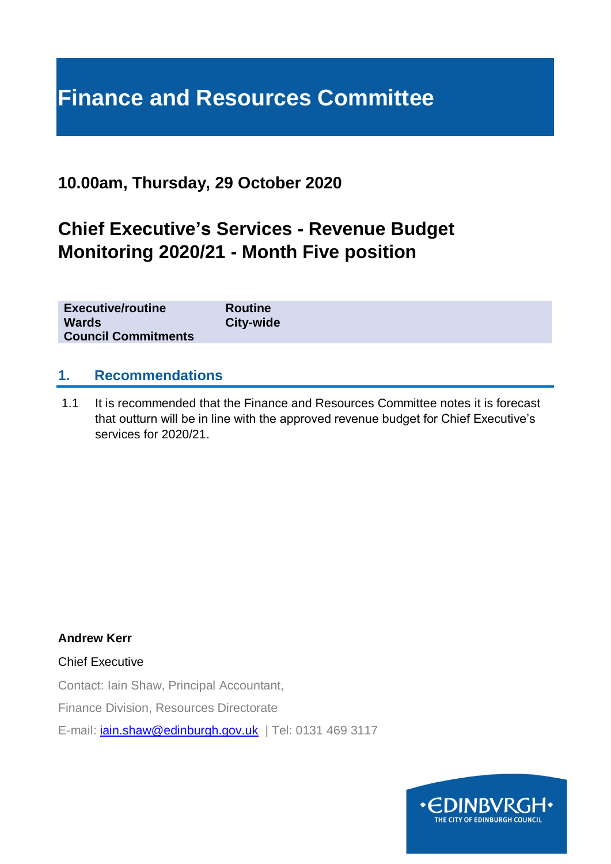# **Finance and Resources Committee**

## **10.00am, Thursday, 29 October 2020**

# **Chief Executive's Services - Revenue Budget Monitoring 2020/21 - Month Five position**

| <b>Executive/routine</b><br><b>Wards</b> | <b>Routine</b><br>City-wide |
|------------------------------------------|-----------------------------|
| <b>Council Commitments</b>               |                             |

#### **1. Recommendations**

1.1 It is recommended that the Finance and Resources Committee notes it is forecast that outturn will be in line with the approved revenue budget for Chief Executive's services for 2020/21.

**Andrew Kerr**

Chief Executive

Contact: Iain Shaw, Principal Accountant,

Finance Division, Resources Directorate

E-mail: *[iain.shaw@edinburgh.gov.uk](mailto:iain.shaw@edinburgh.gov.uk)* | Tel: 0131 469 3117

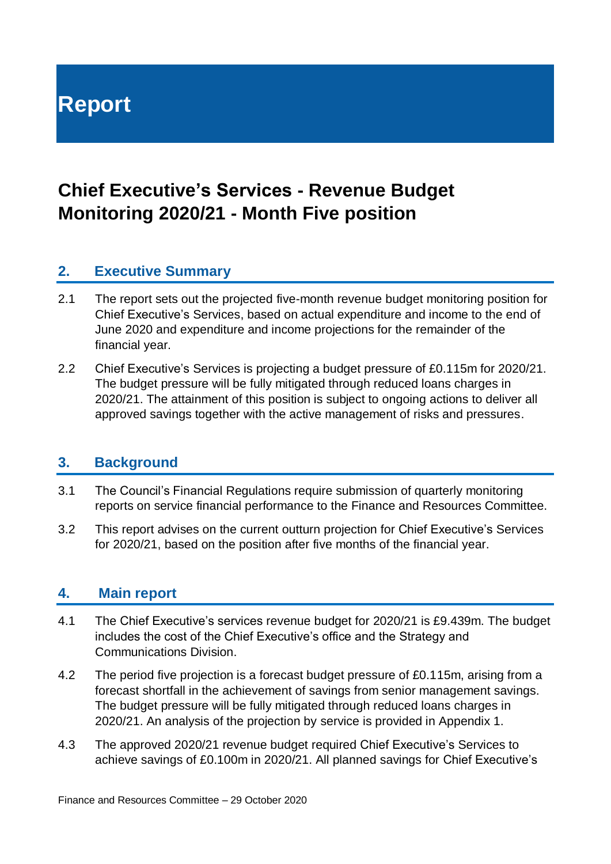**Report**

# **Chief Executive's Services - Revenue Budget Monitoring 2020/21 - Month Five position**

#### **2. Executive Summary**

- 2.1 The report sets out the projected five-month revenue budget monitoring position for Chief Executive's Services, based on actual expenditure and income to the end of June 2020 and expenditure and income projections for the remainder of the financial year.
- 2.2 Chief Executive's Services is projecting a budget pressure of £0.115m for 2020/21. The budget pressure will be fully mitigated through reduced loans charges in 2020/21. The attainment of this position is subject to ongoing actions to deliver all approved savings together with the active management of risks and pressures.

# **3. Background**

- 3.1 The Council's Financial Regulations require submission of quarterly monitoring reports on service financial performance to the Finance and Resources Committee.
- 3.2 This report advises on the current outturn projection for Chief Executive's Services for 2020/21, based on the position after five months of the financial year.

#### **4. Main report**

- 4.1 The Chief Executive's services revenue budget for 2020/21 is £9.439m. The budget includes the cost of the Chief Executive's office and the Strategy and Communications Division.
- 4.2 The period five projection is a forecast budget pressure of £0.115m, arising from a forecast shortfall in the achievement of savings from senior management savings. The budget pressure will be fully mitigated through reduced loans charges in 2020/21. An analysis of the projection by service is provided in Appendix 1.
- 4.3 The approved 2020/21 revenue budget required Chief Executive's Services to achieve savings of £0.100m in 2020/21. All planned savings for Chief Executive's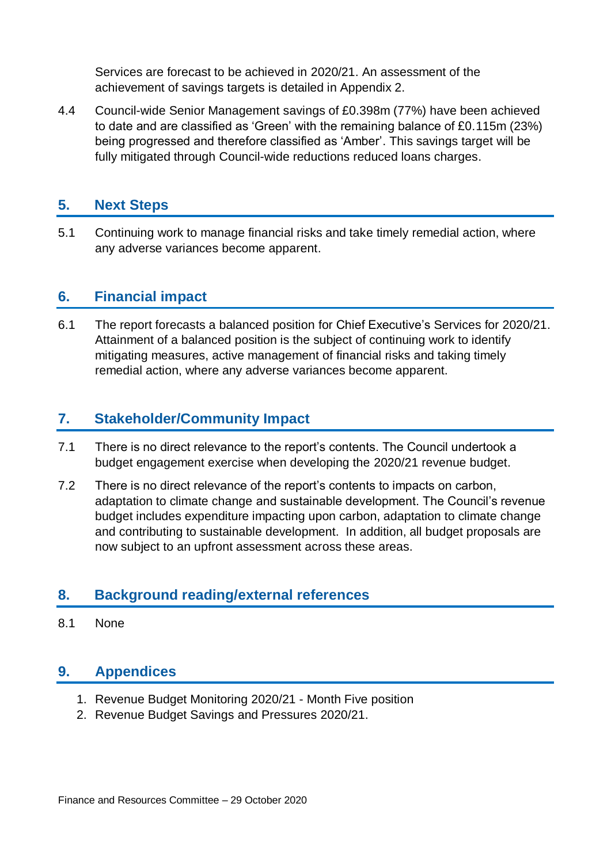Services are forecast to be achieved in 2020/21. An assessment of the achievement of savings targets is detailed in Appendix 2.

4.4 Council-wide Senior Management savings of £0.398m (77%) have been achieved to date and are classified as 'Green' with the remaining balance of £0.115m (23%) being progressed and therefore classified as 'Amber'. This savings target will be fully mitigated through Council-wide reductions reduced loans charges.

#### **5. Next Steps**

5.1 Continuing work to manage financial risks and take timely remedial action, where any adverse variances become apparent.

#### **6. Financial impact**

6.1 The report forecasts a balanced position for Chief Executive's Services for 2020/21. Attainment of a balanced position is the subject of continuing work to identify mitigating measures, active management of financial risks and taking timely remedial action, where any adverse variances become apparent.

#### **7. Stakeholder/Community Impact**

- 7.1 There is no direct relevance to the report's contents. The Council undertook a budget engagement exercise when developing the 2020/21 revenue budget.
- 7.2 There is no direct relevance of the report's contents to impacts on carbon, adaptation to climate change and sustainable development. The Council's revenue budget includes expenditure impacting upon carbon, adaptation to climate change and contributing to sustainable development. In addition, all budget proposals are now subject to an upfront assessment across these areas.

#### **8. Background reading/external references**

8.1 None

#### **9. Appendices**

- 1. Revenue Budget Monitoring 2020/21 Month Five position
- 2. Revenue Budget Savings and Pressures 2020/21.